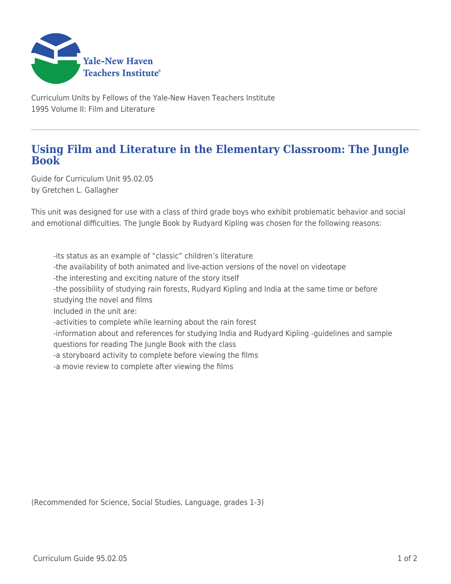

Curriculum Units by Fellows of the Yale-New Haven Teachers Institute 1995 Volume II: Film and Literature

## **Using Film and Literature in the Elementary Classroom: The Jungle Book**

Guide for Curriculum Unit 95.02.05 by Gretchen L. Gallagher

This unit was designed for use with a class of third grade boys who exhibit problematic behavior and social and emotional difficulties. The Jungle Book by Rudyard Kipling was chosen for the following reasons:

-its status as an example of "classic" children's literature

- -the availability of both animated and live-action versions of the novel on videotape
- -the interesting and exciting nature of the story itself

-the possibility of studying rain forests, Rudyard Kipling and India at the same time or before studying the novel and films

Included in the unit are:

-activities to complete while learning about the rain forest

-information about and references for studying India and Rudyard Kipling -guidelines and sample questions for reading The Jungle Book with the class

-a storyboard activity to complete before viewing the films

-a movie review to complete after viewing the films

(Recommended for Science, Social Studies, Language, grades 1-3)